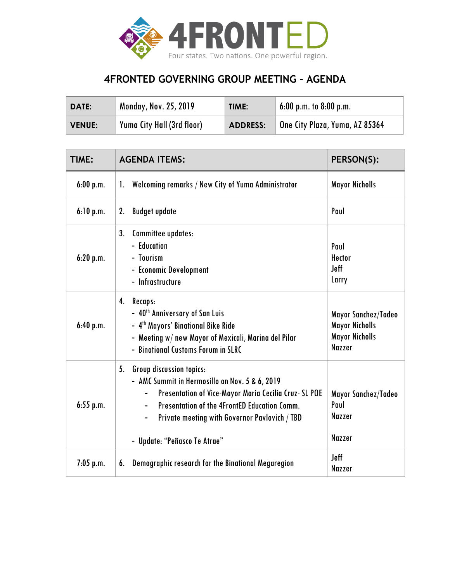

## **4FRONTED GOVERNING GROUP MEETING – AGENDA**

| <b>DATE:</b> | <b>Monday, Nov. 25, 2019</b>      | TIME:           | $\frac{1}{2}$ 6:00 p.m. to 8:00 p.m.  |
|--------------|-----------------------------------|-----------------|---------------------------------------|
| VENUE:       | <b>Yuma City Hall (3rd floor)</b> | <b>ADDRESS:</b> | <b>One City Plaza, Yuma, AZ 85364</b> |

| TIME:       | <b>AGENDA ITEMS:</b>                                                                                                                                                                                                                                                                    | PERSON(S):                                                                             |
|-------------|-----------------------------------------------------------------------------------------------------------------------------------------------------------------------------------------------------------------------------------------------------------------------------------------|----------------------------------------------------------------------------------------|
| 6:00 p.m.   | Welcoming remarks / New City of Yuma Administrator<br>1.                                                                                                                                                                                                                                | <b>Mayor Nicholls</b>                                                                  |
| 6:10 p.m.   | <b>Budget update</b><br>2.                                                                                                                                                                                                                                                              | Paul                                                                                   |
| 6:20 p.m.   | Committee updates:<br>3.<br>- Education<br>- Tourism<br>- Economic Development<br>- Infrastructure                                                                                                                                                                                      | Paul<br><b>Hector</b><br><b>Jeff</b><br>Larry                                          |
| 6:40 p.m.   | 4.<br>Recaps:<br>- 40 <sup>th</sup> Anniversary of San Luis<br>- 4 <sup>th</sup> Mayors' Binational Bike Ride<br>- Meeting w/ new Mayor of Mexicali, Marina del Pilar<br>- Binational Customs Forum in SLRC                                                                             | Mayor Sanchez/Tadeo<br><b>Mayor Nicholls</b><br><b>Mayor Nicholls</b><br><b>Nazzer</b> |
| $6:55$ p.m. | <b>Group discussion topics:</b><br>5.<br>- AMC Summit in Hermosillo on Nov. 5 & 6, 2019<br>Presentation of Vice-Mayor Maria Cecilia Cruz- SL POE<br>Presentation of the 4FrontED Education Comm.<br>Private meeting with Governor Pavlovich / TBD<br>Ξ.<br>- Update: "Peñasco Te Atrae" | Mayor Sanchez/Tadeo<br>Paul<br>Nazzer<br><b>Nazzer</b>                                 |
| $7:05$ p.m. | Demographic research for the Binational Megaregion<br>6.                                                                                                                                                                                                                                | <b>Jeff</b><br><b>Nazzer</b>                                                           |